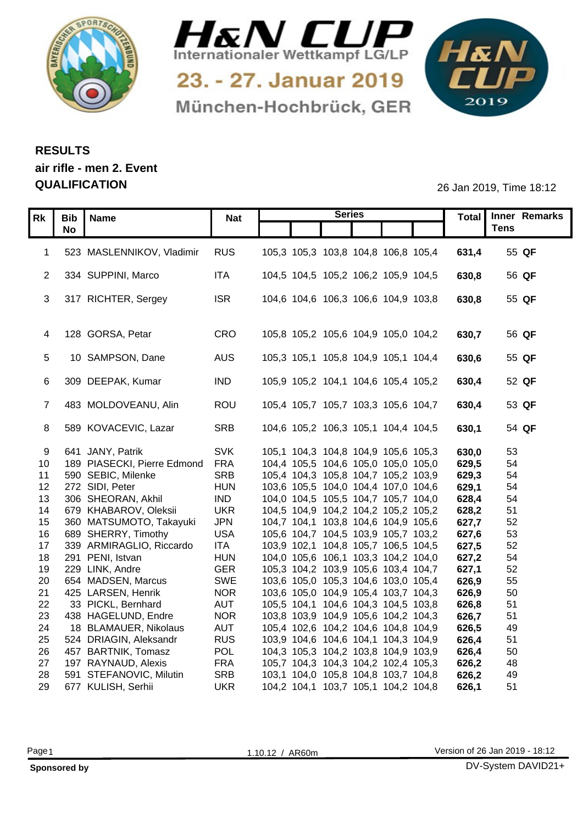



München-Hochbrück, GER

1&N 

## **RESULTS air rifle - men 2. Event QUALIFICATION** 26 Jan 2019, Time 18:12

|    |                                |            |                                     | <b>Series</b> |  |       | Total Inner Remarks |
|----|--------------------------------|------------|-------------------------------------|---------------|--|-------|---------------------|
|    | Rk   Bib   Name                | <b>Nat</b> |                                     |               |  |       | <b>Tens</b>         |
|    | <b>No</b>                      |            |                                     |               |  |       |                     |
|    | 1 523 MASLENNIKOV, Vladimir    | <b>RUS</b> | 105,3 105,3 103,8 104,8 106,8 105,4 |               |  | 631,4 | 55 QF               |
|    |                                |            |                                     |               |  |       |                     |
|    | 2 334 SUPPINI, Marco           | ITA        | 104,5 104,5 105,2 106,2 105,9 104,5 |               |  | 630,8 | 56 QF               |
|    |                                |            |                                     |               |  |       |                     |
|    | 3 317 RICHTER, Sergey          | <b>ISR</b> | 104,6 104,6 106,3 106,6 104,9 103,8 |               |  | 630,8 | 55 QF               |
|    |                                |            |                                     |               |  |       |                     |
|    |                                |            |                                     |               |  |       |                     |
|    | 4 128 GORSA, Petar             | CRO        | 105,8 105,2 105,6 104,9 105,0 104,2 |               |  | 630,7 | 56 QF               |
|    |                                |            |                                     |               |  |       |                     |
|    | 5 10 SAMPSON, Dane             | AUS        | 105,3 105,1 105,8 104,9 105,1 104,4 |               |  | 630,6 | 55 QF               |
|    |                                |            |                                     |               |  |       |                     |
|    | 6 309 DEEPAK, Kumar            | <b>IND</b> | 105,9 105,2 104,1 104,6 105,4 105,2 |               |  | 630,4 | 52 QF               |
|    |                                |            |                                     |               |  |       |                     |
|    | 483 MOLDOVEANU, Alin           | ROU        | 105,4 105,7 105,7 103,3 105,6 104,7 |               |  | 630,4 | 53 QF               |
|    |                                |            |                                     |               |  |       |                     |
|    | 8 589 KOVACEVIC, Lazar         | SRB        | 104,6 105,2 106,3 105,1 104,4 104,5 |               |  | 630,1 | 54 QF               |
|    |                                |            |                                     |               |  |       |                     |
|    | 9 641 JANY, Patrik             | <b>SVK</b> | 105,1 104,3 104,8 104,9 105,6 105,3 |               |  | 630,0 | 53                  |
|    | 10 189 PIASECKI, Pierre Edmond | <b>FRA</b> | 104,4 105,5 104,6 105,0 105,0 105,0 |               |  | 629,5 | 54                  |
|    | 11 590 SEBIC, Milenke          | <b>SRB</b> | 105,4 104,3 105,8 104,7 105,2 103,9 |               |  | 629,3 | 54                  |
|    | 12 272 SIDI, Peter             | <b>HUN</b> | 103,6 105,5 104,0 104,4 107,0 104,6 |               |  | 629,1 | 54                  |
|    | 13 306 SHEORAN, Akhil          | <b>IND</b> | 104,0 104,5 105,5 104,7 105,7 104,0 |               |  | 628,4 | 54                  |
| 14 | 679 KHABAROV, Oleksii          | <b>UKR</b> | 104,5 104,9 104,2 104,2 105,2 105,2 |               |  | 628,2 | 51                  |
|    | 15 360 MATSUMOTO, Takayuki     | <b>JPN</b> | 104,7 104,1 103,8 104,6 104,9 105,6 |               |  | 627,7 | 52                  |
|    | 16 689 SHERRY, Timothy         | <b>USA</b> | 105,6 104,7 104,5 103,9 105,7 103,2 |               |  | 627,6 | 53                  |
|    | 17 339 ARMIRAGLIO, Riccardo    | ITA        | 103,9 102,1 104,8 105,7 106,5 104,5 |               |  | 627,5 | 52                  |
|    | 18 291 PENI, Istvan            | <b>HUN</b> | 104,0 105,6 106,1 103,3 104,2 104,0 |               |  | 627,2 | 54                  |
|    | 19 229 LINK, Andre             | <b>GER</b> | 105,3 104,2 103,9 105,6 103,4 104,7 |               |  | 627,1 | 52                  |
|    | 20 654 MADSEN, Marcus          | SWE        | 103,6 105,0 105,3 104,6 103,0 105,4 |               |  | 626,9 | 55                  |
|    | 21 425 LARSEN, Henrik          | <b>NOR</b> | 103,6 105,0 104,9 105,4 103,7 104,3 |               |  | 626,9 | 50                  |
|    | 22 33 PICKL, Bernhard          | <b>AUT</b> | 105,5 104,1 104,6 104,3 104,5 103,8 |               |  | 626,8 | 51                  |
|    | 23 438 HAGELUND, Endre         | <b>NOR</b> | 103,8 103,9 104,9 105,6 104,2 104,3 |               |  | 626,7 | 51                  |
| 24 | 18 BLAMAUER, Nikolaus          | <b>AUT</b> | 105,4 102,6 104,2 104,6 104,8 104,9 |               |  | 626,5 | 49                  |
|    | 25 524 DRIAGIN, Aleksandr      | <b>RUS</b> | 103,9 104,6 104,6 104,1 104,3 104,9 |               |  | 626,4 | 51                  |
|    | 26 457 BARTNIK, Tomasz         | <b>POL</b> | 104,3 105,3 104,2 103,8 104,9 103,9 |               |  | 626,4 | 50                  |
|    | 27 197 RAYNAUD, Alexis         | <b>FRA</b> | 105,7 104,3 104,3 104,2 102,4 105,3 |               |  | 626,2 | 48                  |
| 28 | 591 STEFANOVIC, Milutin        | <b>SRB</b> | 103,1 104,0 105,8 104,8 103,7 104,8 |               |  | 626,2 | 49                  |
|    | 29 677 KULISH, Serhii          | <b>UKR</b> | 104,2 104,1 103,7 105,1 104,2 104,8 |               |  | 626,1 | 51                  |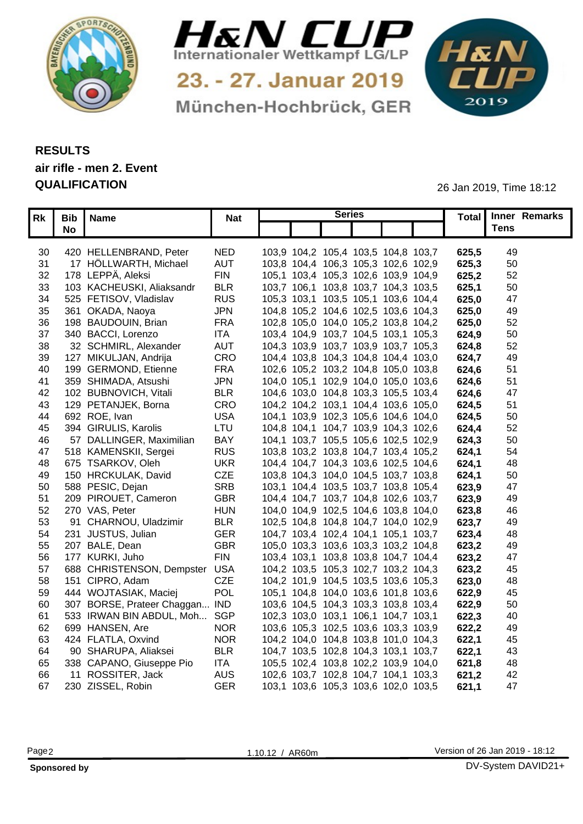



München-Hochbrück, GER

1&N 

## **RESULTS air rifle - men 2. Event QUALIFICATION** 26 Jan 2019, Time 18:12

|          |                                |                          |                                                                            | <b>Series</b> |  |                | Total Inner Remarks |  |
|----------|--------------------------------|--------------------------|----------------------------------------------------------------------------|---------------|--|----------------|---------------------|--|
|          | Rk   Bib   Name                | <b>Nat</b>               |                                                                            |               |  |                | <b>Tens</b>         |  |
|          | <b>No</b>                      |                          |                                                                            |               |  |                |                     |  |
| 30       | 420 HELLENBRAND, Peter         | <b>NED</b>               | 103,9 104,2 105,4 103,5 104,8 103,7                                        |               |  | 625,5          | 49                  |  |
| 31       | 17 HÖLLWARTH, Michael          | <b>AUT</b>               | 103,8 104,4 106,3 105,3 102,6 102,9                                        |               |  | 625,3          | 50                  |  |
| 32       | 178 LEPPÄ, Aleksi              | <b>FIN</b>               | 105,1 103,4 105,3 102,6 103,9 104,9                                        |               |  | 625,2          | 52                  |  |
| 33       | 103 KACHEUSKI, Aliaksandr      | <b>BLR</b>               | 103,7 106,1 103,8 103,7 104,3 103,5                                        |               |  | 625,7          | 50                  |  |
| 34       | 525 FETISOV, Vladislav         | <b>RUS</b>               | 105,3 103,1 103,5 105,1 103,6 104,4                                        |               |  | 625,0          | 47                  |  |
| 35       | 361 OKADA, Naoya               | <b>JPN</b>               | 104,8 105,2 104,6 102,5 103,6 104,3                                        |               |  | 625,0          | 49                  |  |
| 36       | 198 BAUDOUIN, Brian            | <b>FRA</b>               | 102,8 105,0 104,0 105,2 103,8 104,2                                        |               |  | 625,0          | 52                  |  |
| 37       | 340 BACCI, Lorenzo             | <b>ITA</b>               | 103,4 104,9 103,7 104,5 103,1 105,3                                        |               |  | 624,9          | 50                  |  |
| 38       | 32 SCHMIRL, Alexander          | <b>AUT</b>               | 104,3 103,9 103,7 103,9 103,7 105,3                                        |               |  | 624,8          | 52                  |  |
|          | 127 MIKULJAN, Andrija          | CRO                      | 104,4 103,8 104,3 104,8 104,4 103,0                                        |               |  | 624,7          | 49                  |  |
| 39<br>40 | 199 GERMOND, Etienne           | <b>FRA</b>               | 102,6 105,2 103,2 104,8 105,0 103,8                                        |               |  | 624.6          | 51                  |  |
|          | 359 SHIMADA, Atsushi           | <b>JPN</b>               |                                                                            |               |  |                | 51                  |  |
| 41<br>42 | 102 BUBNOVICH, Vitali          | <b>BLR</b>               | 104,0 105,1 102,9 104,0 105,0 103,6<br>104,6 103,0 104,8 103,3 105,5 103,4 |               |  | 624,6<br>624,6 | 47                  |  |
| 43       | 129 PETANJEK, Borna            | <b>CRO</b>               | 104,2 104,2 103,1 104,4 103,6 105,0                                        |               |  | 624,5          |                     |  |
| 44       | 692 ROE, Ivan                  | <b>USA</b>               | 104,1 103,9 102,3 105,6 104,6 104,0                                        |               |  | 624,5          | 51<br>50            |  |
|          | 394 GIRULIS, Karolis           | LTU                      | 104,8 104,1 104,7 103,9 104,3 102,6                                        |               |  |                | 52                  |  |
| 45<br>46 | 57 DALLINGER, Maximilian       | BAY                      | 104,1 103,7 105,5 105,6 102,5 102,9                                        |               |  | 624.4<br>624,3 | 50                  |  |
|          | 518 KAMENSKII, Sergei          | <b>RUS</b>               | 103,8 103,2 103,8 104,7 103,4 105,2                                        |               |  |                | 54                  |  |
| 47       | 675 TSARKOV, Oleh              |                          | 104,4 104,7 104,3 103,6 102,5 104,6                                        |               |  | 624.7          | 48                  |  |
| 48       | 150 HRCKULAK, David            | <b>UKR</b><br><b>CZE</b> |                                                                            |               |  | 624,7          | 50                  |  |
| 49       | 588 PESIC, Dejan               | <b>SRB</b>               | 103,8 104,3 104,0 104,5 103,7 103,8                                        |               |  | 624,7          | 47                  |  |
| 50       |                                | <b>GBR</b>               | 103,1 104,4 103,5 103,7 103,8 105,4                                        |               |  | 623,9          |                     |  |
| 51       | 209 PIROUET, Cameron           |                          | 104,4 104,7 103,7 104,8 102,6 103,7                                        |               |  | 623,9          | 49                  |  |
| 52       | 270 VAS, Peter                 | <b>HUN</b>               | 104,0 104,9 102,5 104,6 103,8 104,0                                        |               |  | 623,8          | 46                  |  |
| 53       | 91 CHARNOU, Uladzimir          | <b>BLR</b>               | 102,5 104,8 104,8 104,7 104,0 102,9                                        |               |  | 623,7          | 49                  |  |
|          | 54 231 JUSTUS, Julian          | <b>GER</b>               | 104,7 103,4 102,4 104,1 105,1 103,7                                        |               |  | 623,4          | 48                  |  |
|          | 55 207 BALE, Dean              | <b>GBR</b>               | 105,0 103,3 103,6 103,3 103,2 104,8                                        |               |  | 623,2          | 49                  |  |
| 56       | 177 KURKI, Juho                | <b>FIN</b>               | 103,4 103,1 103,8 103,8 104,7 104,4                                        |               |  | 623,2          | 47                  |  |
| 57       | 688 CHRISTENSON, Dempster USA  |                          | 104,2 103,5 105,3 102,7 103,2 104,3                                        |               |  | 623,2          | 45                  |  |
| 58       | 151 CIPRO, Adam                | CZE                      | 104,2 101,9 104,5 103,5 103,6 105,3                                        |               |  | 623,0          | 48                  |  |
|          | 59 444 WOJTASIAK, Maciej       | <b>POL</b>               | 105,1 104,8 104,0 103,6 101,8 103,6                                        |               |  | 622,9          | 45                  |  |
| 60       | 307 BORSE, Prateer Chaggan IND |                          | 103,6 104,5 104,3 103,3 103,8 103,4                                        |               |  | 622,9          | 50                  |  |
| 61       | 533 IRWAN BIN ABDUL, Moh SGP   |                          | 102,3 103,0 103,1 106,1 104,7 103,1                                        |               |  | 622,3          | 40                  |  |
| 62       | 699 HANSEN, Are                | <b>NOR</b>               | 103,6 105,3 102,5 103,6 103,3 103,9                                        |               |  | 622,2          | 49                  |  |
| 63       | 424 FLATLA, Oxvind             | <b>NOR</b>               | 104,2 104,0 104,8 103,8 101,0 104,3                                        |               |  | 622,7          | 45                  |  |
| 64       | 90 SHARUPA, Aliaksei           | <b>BLR</b>               | 104,7 103,5 102,8 104,3 103,1 103,7                                        |               |  | 622,7          | 43                  |  |
| 65       | 338 CAPANO, Giuseppe Pio       | <b>ITA</b>               | 105,5 102,4 103,8 102,2 103,9 104,0                                        |               |  | 8,621          | 48                  |  |
| 66       | 11 ROSSITER, Jack              | <b>AUS</b>               | 102,6 103,7 102,8 104,7 104,1 103,3                                        |               |  | 621,2          | 42                  |  |
|          | 67 230 ZISSEL, Robin           | <b>GER</b>               | 103,1 103,6 105,3 103,6 102,0 103,5                                        |               |  | 621,1          | 47                  |  |